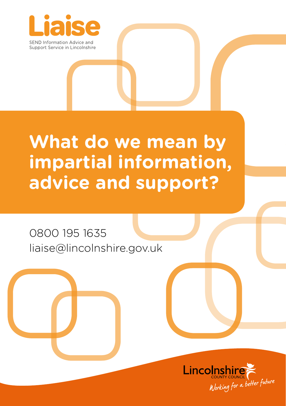

# **What do we mean by impartial information, advice and support?**

## 0800 195 1635 liaise@lincolnshire.gov.uk

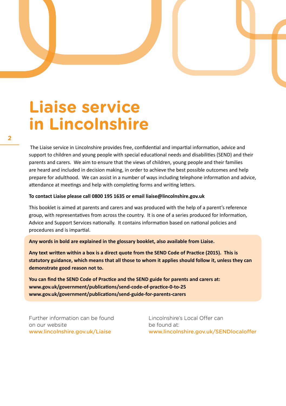# **Liaise service in Lincolnshire**

 The Liaise service in Lincolnshire provides free, confidential and impartial information, advice and support to children and young people with special educational needs and disabilities (SEND) and their parents and carers. We aim to ensure that the views of children, young people and their families are heard and included in decision making, in order to achieve the best possible outcomes and help prepare for adulthood. We can assist in a number of ways including telephone information and advice, attendance at meetings and help with completing forms and writing letters.

#### **To contact Liaise please call 0800 195 1635 or email liaise@lincolnshire.gov.uk**

This booklet is aimed at parents and carers and was produced with the help of a parent's reference group, with representatives from across the country. It is one of a series produced for Information, Advice and Support Services nationally. It contains information based on national policies and procedures and is impartial.

**Any words in bold are explained in the glossary booklet, also available from Liaise.**

**Any text written within a box is a direct quote from the SEND Code of Practice (2015). This is statutory guidance, which means that all those to whom it applies should follow it, unless they can demonstrate good reason not to.**

**You can find the SEND Code of Practice and the SEND guide for parents and carers at: www.gov.uk/government/publications/send-code-of-practice-0-to-25 www.gov.uk/government/publications/send-guide-for-parents-carers**

Further information can be found on our website www.lincolnshire.gov.uk/Liaise

Lincolnshire's Local Offer can be found at: www.lincolnshire.gov.uk/SENDlocaloffer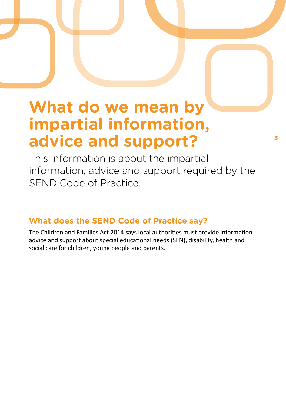# **What do we mean by impartial information, advice and support?**

This information is about the impartial information, advice and support required by the SEND Code of Practice.

## **What does the SEND Code of Practice say?**

The Children and Families Act 2014 says local authorities must provide information advice and support about special educational needs (SEN), disability, health and social care for children, young people and parents.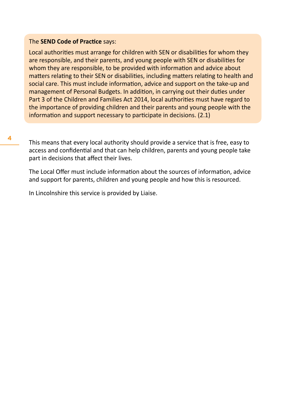#### The **SEND Code of Practice** says:

Local authorities must arrange for children with SEN or disabilities for whom they are responsible, and their parents, and young people with SEN or disabilities for whom they are responsible, to be provided with information and advice about matters relating to their SEN or disabilities, including matters relating to health and social care. This must include information, advice and support on the take-up and management of Personal Budgets. In addition, in carrying out their duties under Part 3 of the Children and Families Act 2014, local authorities must have regard to the importance of providing children and their parents and young people with the information and support necessary to participate in decisions. (2.1)

This means that every local authority should provide a service that is free, easy to access and confidential and that can help children, parents and young people take part in decisions that affect their lives.

The Local Offer must include information about the sources of information, advice and support for parents, children and young people and how this is resourced.

In Lincolnshire this service is provided by Liaise.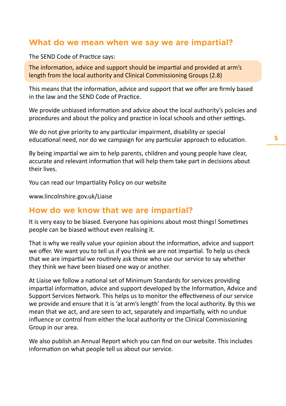### **What do we mean when we say we are impartial?**

The SEND Code of Practice says:

The information, advice and support should be impartial and provided at arm's length from the local authority and Clinical Commissioning Groups (2.8)

This means that the information, advice and support that we offer are firmly based in the law and the SEND Code of Practice.

We provide unbiased information and advice about the local authority's policies and procedures and about the policy and practice in local schools and other settings.

We do not give priority to any particular impairment, disability or special educational need, nor do we campaign for any particular approach to education.

By being impartial we aim to help parents, children and young people have clear, accurate and relevant information that will help them take part in decisions about their lives.

You can read our Impartiality Policy on our website

www.lincolnshire.gov.uk/Liaise

#### **How do we know that we are impartial?**

It is very easy to be biased. Everyone has opinions about most things! Sometimes people can be biased without even realising it.

That is why we really value your opinion about the information, advice and support we offer. We want you to tell us if you think we are not impartial. To help us check that we are impartial we routinely ask those who use our service to say whether they think we have been biased one way or another.

At Liaise we follow a national set of Minimum Standards for services providing impartial information, advice and support developed by the Information, Advice and Support Services Network. This helps us to monitor the effectiveness of our service we provide and ensure that it is 'at arm's length' from the local authority. By this we mean that we act, and are seen to act, separately and impartially, with no undue influence or control from either the local authority or the Clinical Commissioning Group in our area.

We also publish an Annual Report which you can find on our website. This includes information on what people tell us about our service.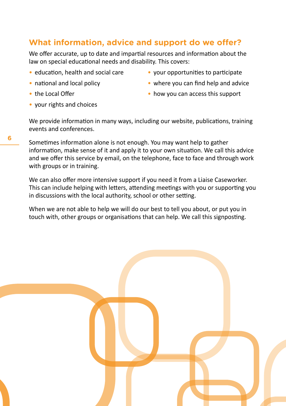### **What information, advice and support do we offer?**

We offer accurate, up to date and impartial resources and information about the law on special educational needs and disability. This covers:

- education, health and social care
- national and local policy
- the Local Offer
- your rights and choices
- your opportunities to participate
- where you can find help and advice
- how you can access this support

We provide information in many ways, including our website, publications, training events and conferences.

Sometimes information alone is not enough. You may want help to gather information, make sense of it and apply it to your own situation. We call this advice and we offer this service by email, on the telephone, face to face and through work with groups or in training.

We can also offer more intensive support if you need it from a Liaise Caseworker. This can include helping with letters, attending meetings with you or supporting you in discussions with the local authority, school or other setting.

When we are not able to help we will do our best to tell you about, or put you in touch with, other groups or organisations that can help. We call this signposting.

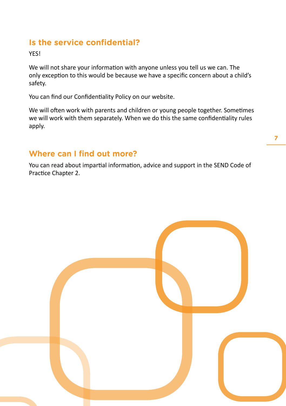## **Is the service confidential?**

**VES!** 

We will not share your information with anyone unless you tell us we can. The only exception to this would be because we have a specific concern about a child's safety.

You can find our Confidentiality Policy on our website.

We will often work with parents and children or young people together. Sometimes we will work with them separately. When we do this the same confidentiality rules apply.

### **Where can I find out more?**

You can read about impartial information, advice and support in the SEND Code of Practice Chapter 2.